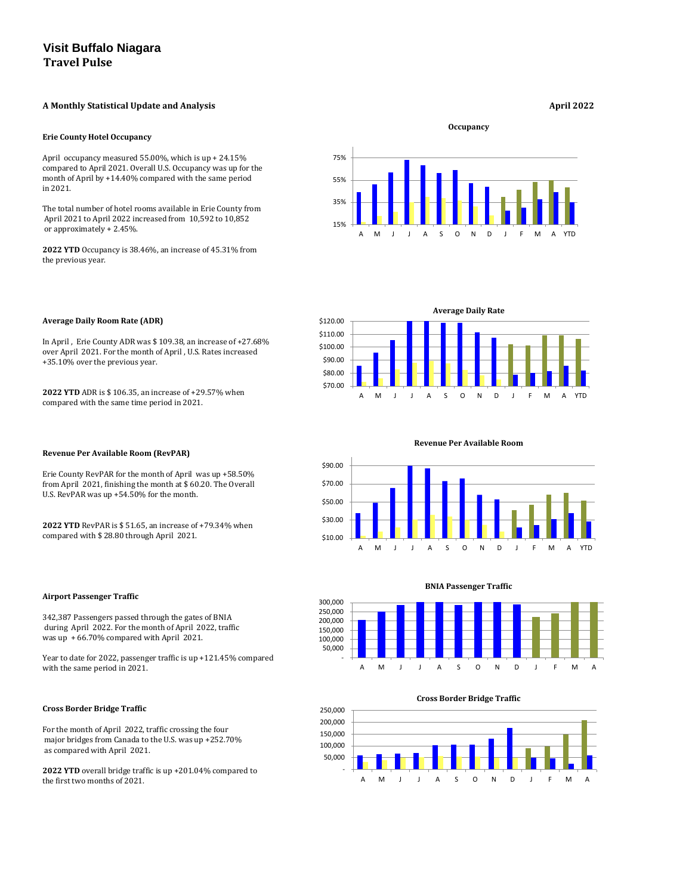## A Monthly Statistical Update and Analysis *April 2022*

#### **Erie County Hotel Occupancy**

April occupancy measured 55.00%, which is up + 24.15% compared to April 2021. Overall U.S. Occupancy was up for the month of April by +14.40% compared with the same period in 2021.

The total number of hotel rooms available in Erie County from April 2021 to April 2022 increased from 10,592 to 10,852 or approximately + 2.45%.

**2022 YTD** Occupancy is 38.46%, an increase of 45.31% from the previous year.

# **Average Daily Room Rate (ADR)**

In April , Erie County ADR was \$ 109.38, an increase of +27.68% over April 2021. For the month of April , U.S. Rates increased +35.10% over the previous year.

**2022 YTD** ADR is \$ 106.35, an increase of +29.57% when compared with the same time period in 2021.

### **Revenue Per Available Room (RevPAR)**

Erie County RevPAR for the month of April was up +58.50% from April 2021, finishing the month at \$ 60.20. The Overall U.S. RevPAR was up +54.50% for the month.

**2022 YTD** RevPAR is \$ 51.65, an increase of +79.34% when compared with \$ 28.80 through April 2021.

**Airport Passenger Traffic**

342,387 Passengers passed through the gates of BNIA during April 2022. For the month of April 2022, traffic was up + 66.70% compared with April 2021.

Year to date for 2022, passenger traffic is up +121.45% compared with the same period in 2021.

## **Cross Border Bridge Traffic**

For the month of April 2022, traffic crossing the four major bridges from Canada to the U.S. was up +252.70% as compared with April 2021.

**2022 YTD** overall bridge traffic is up +201.04% compared to the first two months of 2021.

**Occupancy**

#### **BNIA Passenger Traffic**

#### **Cross Border Bridge Traffic**









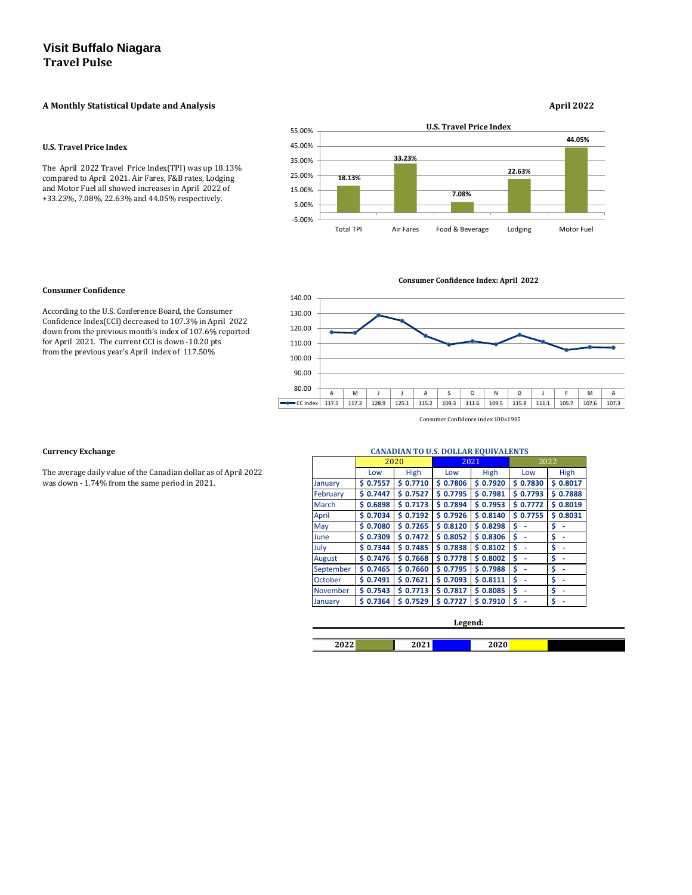## A Monthly Statistical Update and Analysis **April 2022**

#### **U.S. Travel Price Index**

The April 2022 Travel Price Index(TPI) was up 18.13% compared to April 2021. Air Fares, F&B rates, Lodging and Motor Fuel all showed increases in April 2022 of +33.23%, 7.08%, 22.63% and 44.05% respectively.

### **Consumer Confidence**

According to the U.S. Conference Board, the Consumer Confidence Index(CCI) decreased to 107.3% in April 2022 down from the previous month's index of 107.6% reported for April 2021. The current CCI is down -10.20 pts from the previous year's April index of 117.50%

#### **Currency Exchange**

The average daily value of the Canadian dollar as of April 2022 was down - 1.74% from the same period in 2021.

|           |              | 2020         |              | 2021         | 2022         |             |
|-----------|--------------|--------------|--------------|--------------|--------------|-------------|
|           | Low          | <b>High</b>  | Low          | High         | Low          | <b>High</b> |
| January   | 0.7557<br>S  | \$0.7710     | \$0.7806     | \$0.7920     | \$0.7830     | \$0.8017    |
| February  | 0.7447<br>Ś. | \$0.7527     | \$0.7795     | \$0.7981     | \$0.7793     | \$0.7888    |
| March     | 0.6898<br>S. | \$0.7173     | \$0.7894     | \$0.7953     | \$0.7772     | \$0.8019    |
| April     | 0.7034<br>S  | \$0.7192     | \$0.7926     | 0.8140<br>Ś. | 0.7755<br>S. | \$0.8031    |
| May       | \$0.7080     | \$0.7265     | \$0.8120     | \$0.8298     | \$           | \$          |
| June      | 0.7309<br>S. | \$0.7472     | \$0.8052     | 0.8306<br>Ś. | \$           | \$          |
| July      | \$0.7344     | \$0.7485     | \$0.7838     | \$0.8102     | \$           | \$          |
| August    | \$0.7476     | \$0.7668     | \$0.7778     | \$0.8002     | \$           | \$          |
| September | 0.7465<br>S  | \$0.7660     | \$0.7795     | 0.7988<br>Ś. | \$           | \$          |
| October   | \$0.7491     | \$0.7621     | \$0.7093     | \$0.8111     | \$           | \$          |
| November  | 0.7543<br>S  | \$0.7713     | \$0.7817     | 0.8085<br>Ś  | Ś            | \$          |
| January   | 0.7364<br>S  | 0.7529<br>S. | 0.7727<br>Ś. | 0.7910<br>Ś  | \$           | \$          |

| 2022 | 2021<br>$-041$ | 2020 |  |
|------|----------------|------|--|

#### **Legend:**

#### **CANADIAN TO U.S. DOLLAR EQUIVALENTS**



**Consumer Confidence Index: April 2022**

Consumer Confidence index 100=1985

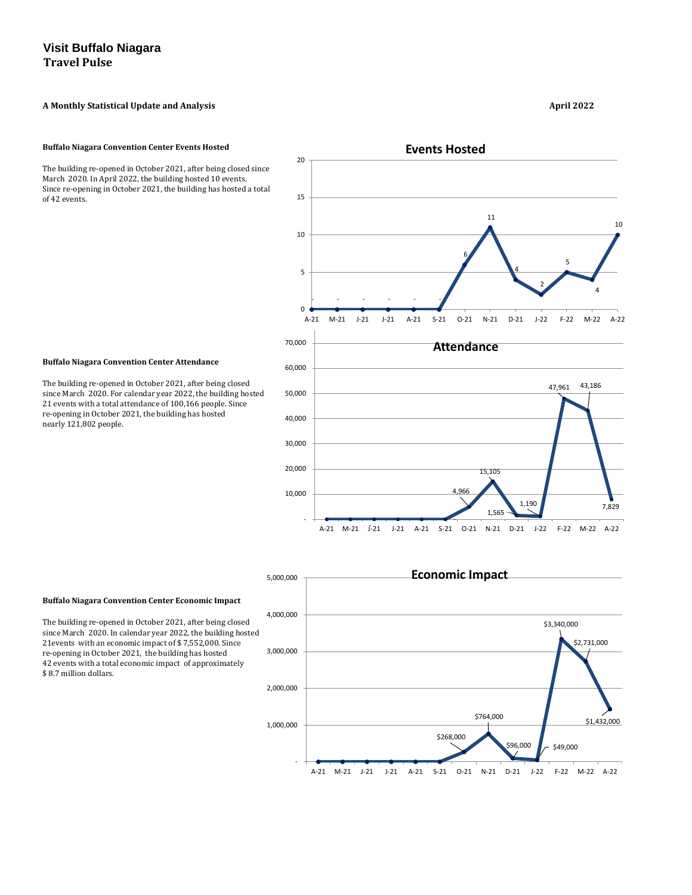# A Monthly Statistical Update and Analysis **April 2022**

#### **Buffalo Niagara Convention Center Events Hosted**

The building re-opened in October 2021, after being closed since March 2020. In April 2022, the building hosted 10 events. Since re-opening in October 2021, the building has hosted a total of 42 events.



The building re-opened in October 2021, after being closed since March 2020. For calendar year 2022, the building hosted 21 events with a total attendance of 100,166 people. Since re-opening in October 2021, the building has hosted nearly 121,802 people.

#### **Buffalo Niagara Convention Center Economic Impact**

The building re-opened in October 2021, after being closed since March 2020. In calendar year 2022, the building hosted 21events with an economic impact of \$ 7,552,000. Since re-opening in October 2021, the building has hosted 42 events with a total economic impact of approximately \$ 8.7 million dollars.